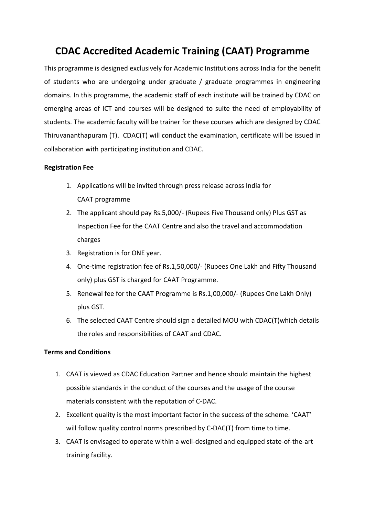## **CDAC Accredited Academic Training (CAAT) Programme**

This programme is designed exclusively for Academic Institutions across India for the benefit of students who are undergoing under graduate / graduate programmes in engineering domains. In this programme, the academic staff of each institute will be trained by CDAC on emerging areas of ICT and courses will be designed to suite the need of employability of students. The academic faculty will be trainer for these courses which are designed by CDAC Thiruvananthapuram (T). CDAC(T) will conduct the examination, certificate will be issued in collaboration with participating institution and CDAC.

## **Registration Fee**

- 1. Applications will be invited through press release across India for CAAT programme
- 2. The applicant should pay Rs.5,000/- (Rupees Five Thousand only) Plus GST as Inspection Fee for the CAAT Centre and also the travel and accommodation charges
- 3. Registration is for ONE year.
- 4. One-time registration fee of Rs.1,50,000/- (Rupees One Lakh and Fifty Thousand only) plus GST is charged for CAAT Programme.
- 5. Renewal fee for the CAAT Programme is Rs.1,00,000/- (Rupees One Lakh Only) plus GST.
- 6. The selected CAAT Centre should sign a detailed MOU with CDAC(T)which details the roles and responsibilities of CAAT and CDAC.

## **Terms and Conditions**

- 1. CAAT is viewed as CDAC Education Partner and hence should maintain the highest possible standards in the conduct of the courses and the usage of the course materials consistent with the reputation of C-DAC.
- 2. Excellent quality is the most important factor in the success of the scheme. 'CAAT' will follow quality control norms prescribed by C-DAC(T) from time to time.
- 3. CAAT is envisaged to operate within a well-designed and equipped state-of-the-art training facility.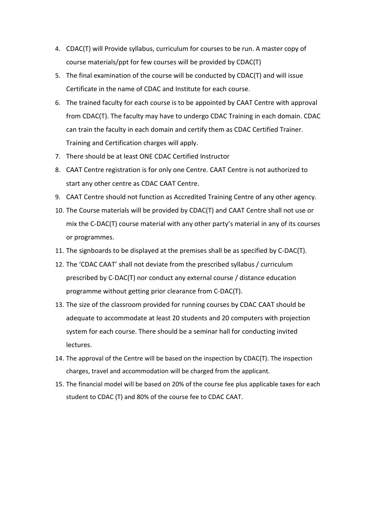- 4. CDAC(T) will Provide syllabus, curriculum for courses to be run. A master copy of course materials/ppt for few courses will be provided by CDAC(T)
- 5. The final examination of the course will be conducted by CDAC(T) and will issue Certificate in the name of CDAC and Institute for each course.
- 6. The trained faculty for each course is to be appointed by CAAT Centre with approval from CDAC(T). The faculty may have to undergo CDAC Training in each domain. CDAC can train the faculty in each domain and certify them as CDAC Certified Trainer. Training and Certification charges will apply.
- 7. There should be at least ONE CDAC Certified Instructor
- 8. CAAT Centre registration is for only one Centre. CAAT Centre is not authorized to start any other centre as CDAC CAAT Centre.
- 9. CAAT Centre should not function as Accredited Training Centre of any other agency.
- 10. The Course materials will be provided by CDAC(T) and CAAT Centre shall not use or mix the C-DAC(T) course material with any other party's material in any of its courses or programmes.
- 11. The signboards to be displayed at the premises shall be as specified by C-DAC(T).
- 12. The 'CDAC CAAT' shall not deviate from the prescribed syllabus / curriculum prescribed by C-DAC(T) nor conduct any external course / distance education programme without getting prior clearance from C-DAC(T).
- 13. The size of the classroom provided for running courses by CDAC CAAT should be adequate to accommodate at least 20 students and 20 computers with projection system for each course. There should be a seminar hall for conducting invited lectures.
- 14. The approval of the Centre will be based on the inspection by CDAC(T). The inspection charges, travel and accommodation will be charged from the applicant.
- 15. The financial model will be based on 20% of the course fee plus applicable taxes for each student to CDAC (T) and 80% of the course fee to CDAC CAAT.